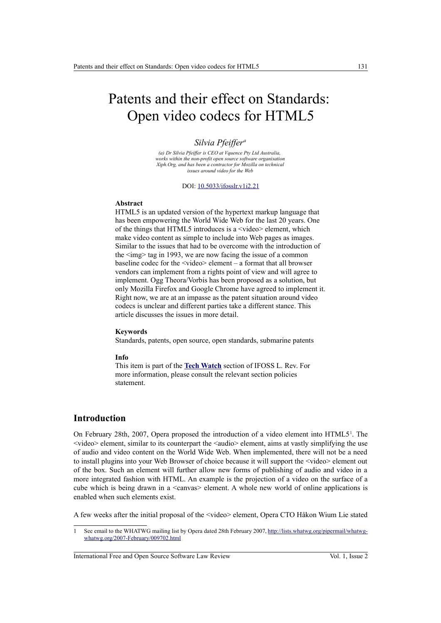# Patents and their effect on Standards: Open video codecs for HTML5

## *Silvia Pfeiffer<sup>a</sup>*

*(a) Dr Silvia Pfeiffer is CEO at Vquence Pty Ltd Australia, works within the non-profit open source software organisation Xiph.Org, and has been a contractor for Mozilla on technical issues around video for the Web*

#### DOI: [10.5033/ifosslr.v1i2.21](http://dx.doi.org/10.5033/ifosslr.v1i2.21)

### **Abstract**

HTML5 is an updated version of the hypertext markup language that has been empowering the World Wide Web for the last 20 years. One of the things that HTML5 introduces is a <video> element, which make video content as simple to include into Web pages as images. Similar to the issues that had to be overcome with the introduction of the  $\langle \text{img} \rangle$  tag in 1993, we are now facing the issue of a common baseline codec for the <video> element – a format that all browser vendors can implement from a rights point of view and will agree to implement. Ogg Theora/Vorbis has been proposed as a solution, but only Mozilla Firefox and Google Chrome have agreed to implement it. Right now, we are at an impasse as the patent situation around video codecs is unclear and different parties take a different stance. This article discusses the issues in more detail.

#### **Keywords**

Standards, patents, open source, open standards, submarine patents

#### **Info**

This item is part of the **[Tech Watch](http://www.ifosslr.org/ifosslr/about/editorialPolicies#sectionPolicies)** section of IFOSS L. Rev. For more information, please consult the relevant section policies statement.

# **Introduction**

On February 28th, 2007, Opera proposed the introduction of a video element into  $HTML5<sup>1</sup>$  $HTML5<sup>1</sup>$  $HTML5<sup>1</sup>$ . The <video> element, similar to its counterpart the <audio> element, aims at vastly simplifying the use of audio and video content on the World Wide Web. When implemented, there will not be a need to install plugins into your Web Browser of choice because it will support the <video> element out of the box. Such an element will further allow new forms of publishing of audio and video in a more integrated fashion with HTML. An example is the projection of a video on the surface of a cube which is being drawn in a <canvas> element. A whole new world of online applications is enabled when such elements exist.

A few weeks after the initial proposal of the <video> element, Opera CTO Håkon Wium Lie stated

International Free and Open Source Software Law Review Vol. 1, Issue 2

<span id="page-0-0"></span><sup>1</sup> See email to the WHATWG mailing list by Opera dated 28th February 2007, [http://lists.whatwg.org/pipermail/whatwg](http://lists.whatwg.org/pipermail/whatwg-whatwg.org/2007-February/009702.html)[whatwg.org/2007-February/009702.html](http://lists.whatwg.org/pipermail/whatwg-whatwg.org/2007-February/009702.html)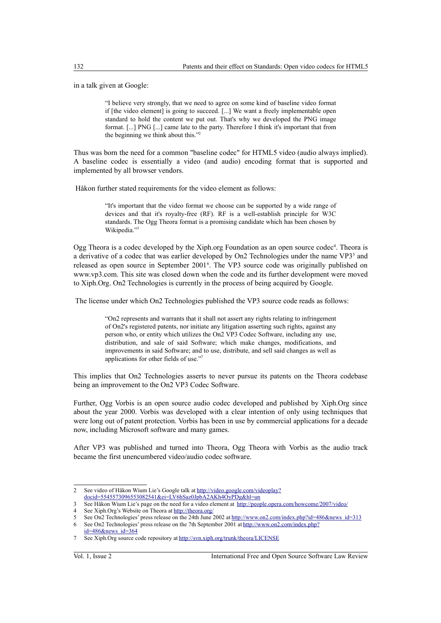in a talk given at Google:

"I believe very strongly, that we need to agree on some kind of baseline video format if [the video element] is going to succeed. [...] We want a freely implementable open standard to hold the content we put out. That's why we developed the PNG image format. [...] PNG [...] came late to the party. Therefore I think it's important that from the beginning we think about this."[2](#page-1-0)

Thus was born the need for a common "baseline codec" for HTML5 video (audio always implied). A baseline codec is essentially a video (and audio) encoding format that is supported and implemented by all browser vendors.

Håkon further stated requirements for the video element as follows:

"It's important that the video format we choose can be supported by a wide range of devices and that it's royalty-free (RF). RF is a well-establish principle for W3C standards. The Ogg Theora format is a promising candidate which has been chosen by Wikipedia."[3](#page-1-1)

Ogg Theora is a codec developed by the Xiph.org Foundation as an open source codec<sup>[4](#page-1-2)</sup>. Theora is a derivative of a codec that was earlier developed by On2 Technologies under the name VP3<sup>[5](#page-1-3)</sup> and released as open source in September 2001<sup>[6](#page-1-4)</sup>. The VP3 source code was originally published on www.vp3.com. This site was closed down when the code and its further development were moved to Xiph.Org. On2 Technologies is currently in the process of being acquired by Google.

The license under which On2 Technologies published the VP3 source code reads as follows:

"On2 represents and warrants that it shall not assert any rights relating to infringement of On2's registered patents, nor initiate any litigation asserting such rights, against any person who, or entity which utilizes the On2 VP3 Codec Software, including any use, distribution, and sale of said Software; which make changes, modifications, and improvements in said Software; and to use, distribute, and sell said changes as well as applications for other fields of use.["](#page-1-5)<sup>7</sup>

This implies that On2 Technologies asserts to never pursue its patents on the Theora codebase being an improvement to the On2 VP3 Codec Software.

Further, Ogg Vorbis is an open source audio codec developed and published by Xiph.Org since about the year 2000. Vorbis was developed with a clear intention of only using techniques that were long out of patent protection. Vorbis has been in use by commercial applications for a decade now, including Microsoft software and many games.

After VP3 was published and turned into Theora, Ogg Theora with Vorbis as the audio track became the first unencumbered video/audio codec software.

<span id="page-1-0"></span><sup>2</sup> See video of Håkon Wium Lie's Google talk at [http://video.google.com/videoplay?](http://video.google.com/videoplay?docid=5545573096553082541&ei=LV6hSaz0JpbA2AKh4OyPDg&hl=un) [docid=5545573096553082541&ei=LV6hSaz0JpbA2AKh4OyPDg&hl=un](http://video.google.com/videoplay?docid=5545573096553082541&ei=LV6hSaz0JpbA2AKh4OyPDg&hl=un)

<span id="page-1-1"></span><sup>3</sup> See Håkon Wium Lie's page on the need for a video element at <http://people.opera.com/howcome/2007/video/>

<span id="page-1-2"></span><sup>4</sup> See Xiph.Org's Website on Theora at<http://theora.org/>

<span id="page-1-4"></span><span id="page-1-3"></span><sup>5</sup> See On2 Technologies' press release on the 24th June 2002 at [http://www.on2.com/index.php?id=486&news\\_id=313](http://www.on2.com/index.php?id=486&news_id=313) 6 See On2 Technologies' press release on the 7th September 2001 at [http://www.on2.com/index.php?](http://www.on2.com/index.php?id=486&news_id=364)

<span id="page-1-5"></span>[id=486&news\\_id=364](http://www.on2.com/index.php?id=486&news_id=364) 7 See Xiph.Org source code repository at<http://svn.xiph.org/trunk/theora/LICENSE>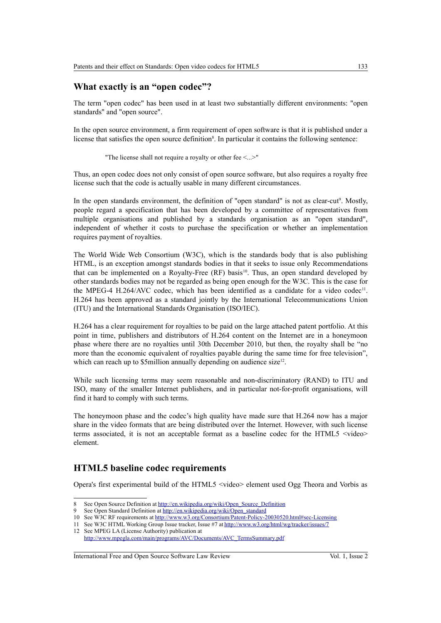# **What exactly is an "open codec"?**

The term "open codec" has been used in at least two substantially different environments: "open standards" and "open source".

In the open source environment, a firm requirement of open software is that it is published under a license that satisfies the open source definition<sup>[8](#page-2-0)</sup>. In particular it contains the following sentence:

"The license shall not require a royalty or other fee <...>"

Thus, an open codec does not only consist of open source software, but also requires a royalty free license such that the code is actually usable in many different circumstances.

In the open standards environment, the definition of "open standard" is not as clear-cut<sup>[9](#page-2-1)</sup>. Mostly, people regard a specification that has been developed by a committee of representatives from multiple organisations and published by a standards organisation as an "open standard", independent of whether it costs to purchase the specification or whether an implementation requires payment of royalties.

The World Wide Web Consortium (W3C), which is the standards body that is also publishing HTML, is an exception amongst standards bodies in that it seeks to issue only Recommendations that can be implemented on a Royalty-Free (RF) basis<sup>[10](#page-2-2)</sup>. Thus, an open standard developed by other standards bodies may not be regarded as being open enough for the W3C. This is the case for the MPEG-4 H.264/AVC codec, which has been identified as a candidate for a video codec<sup>[11](#page-2-3)</sup>. H.264 has been approved as a standard jointly by the International Telecommunications Union (ITU) and the International Standards Organisation (ISO/IEC).

H.264 has a clear requirement for royalties to be paid on the large attached patent portfolio. At this point in time, publishers and distributors of H.264 content on the Internet are in a honeymoon phase where there are no royalties until 30th December 2010, but then, the royalty shall be "no more than the economic equivalent of royalties payable during the same time for free television", which can reach up to  $\text{\$5million}$  annually depending on audience size<sup>[12](#page-2-4)</sup>.

While such licensing terms may seem reasonable and non-discriminatory (RAND) to ITU and ISO, many of the smaller Internet publishers, and in particular not-for-profit organisations, will find it hard to comply with such terms.

The honeymoon phase and the codec's high quality have made sure that H.264 now has a major share in the video formats that are being distributed over the Internet. However, with such license terms associated, it is not an acceptable format as a baseline codec for the HTML5  $\le$ video $\ge$ element.

## **HTML5 baseline codec requirements**

Opera's first experimental build of the HTML5 <video> element used Ogg Theora and Vorbis as

International Free and Open Source Software Law Review Vol. 1, Issue 2

<span id="page-2-0"></span><sup>8</sup> See Open Source Definition at [http://en.wikipedia.org/wiki/Open\\_Source\\_Definition](http://en.wikipedia.org/wiki/Open_Source_Definition)

<span id="page-2-1"></span><sup>9</sup> See Open Standard Definition at [http://en.wikipedia.org/wiki/Open\\_standard](http://en.wikipedia.org/wiki/Open_standard)

<span id="page-2-2"></span><sup>10</sup> See W3C RF requirements at [http://www.w3.org/Consortium/Patent-Policy-20030520.html#sec-Licensing](file:///Users/graeme/ifosslr/vol 1 issue 2/21 - sylvia pfeiffer html5 video tech watch/finalised/revised post release/See W3C RF requirements at http://www.w3.org/Consortium/Patent-Policy-20030520.html#sec-Licensing)

<span id="page-2-3"></span><sup>11</sup> See W3C HTML Working Group Issue tracker, Issue #7 at<http://www.w3.org/html/wg/tracker/issues/7>

<span id="page-2-4"></span><sup>12</sup> See MPEG LA (License Authority) publication at [http://www.mpegla.com/main/programs/AVC/Documents/AVC\\_TermsSummary.pdf](http://www.mpegla.com/main/programs/AVC/Documents/AVC_TermsSummary.pdf)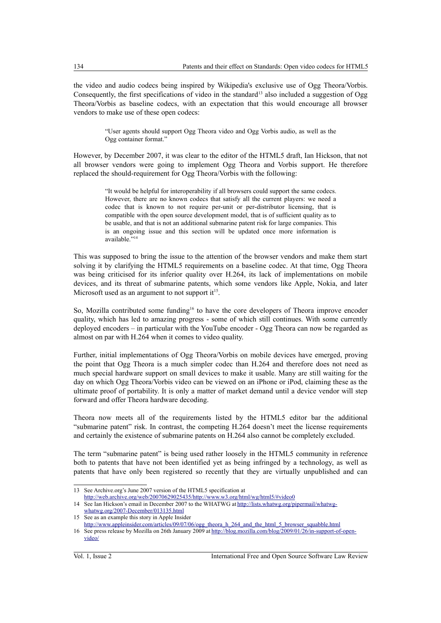the video and audio codecs being inspired by Wikipedia's exclusive use of Ogg Theora/Vorbis. Consequently, the first specifications of video in the standard<sup>[13](#page-3-0)</sup> also included a suggestion of Ogg Theora/Vorbis as baseline codecs, with an expectation that this would encourage all browser vendors to make use of these open codecs:

> "User agents should support Ogg Theora video and Ogg Vorbis audio, as well as the Ogg container format."

However, by December 2007, it was clear to the editor of the HTML5 draft, Ian Hickson, that not all browser vendors were going to implement Ogg Theora and Vorbis support. He therefore replaced the should-requirement for Ogg Theora/Vorbis with the following:

> "It would be helpful for interoperability if all browsers could support the same codecs. However, there are no known codecs that satisfy all the current players: we need a codec that is known to not require per-unit or per-distributor licensing, that is compatible with the open source development model, that is of sufficient quality as to be usable, and that is not an additional submarine patent risk for large companies. This is an ongoing issue and this section will be updated once more information is available."<sup>[14](#page-3-1)</sup>

This was supposed to bring the issue to the attention of the browser vendors and make them start solving it by clarifying the HTML5 requirements on a baseline codec. At that time, Ogg Theora was being criticised for its inferior quality over H.264, its lack of implementations on mobile devices, and its threat of submarine patents, which some vendors like Apple, Nokia, and later Microsoft used as an argument to not support it<sup>[15](#page-3-2)</sup>.

So, Mozilla contributed some funding<sup>[16](#page-3-3)</sup> to have the core developers of Theora improve encoder quality, which has led to amazing progress - some of which still continues. With some currently deployed encoders – in particular with the YouTube encoder - Ogg Theora can now be regarded as almost on par with H.264 when it comes to video quality.

Further, initial implementations of Ogg Theora/Vorbis on mobile devices have emerged, proving the point that Ogg Theora is a much simpler codec than H.264 and therefore does not need as much special hardware support on small devices to make it usable. Many are still waiting for the day on which Ogg Theora/Vorbis video can be viewed on an iPhone or iPod, claiming these as the ultimate proof of portability. It is only a matter of market demand until a device vendor will step forward and offer Theora hardware decoding.

Theora now meets all of the requirements listed by the HTML5 editor bar the additional "submarine patent" risk. In contrast, the competing H.264 doesn't meet the license requirements and certainly the existence of submarine patents on H.264 also cannot be completely excluded.

The term "submarine patent" is being used rather loosely in the HTML5 community in reference both to patents that have not been identified yet as being infringed by a technology, as well as patents that have only been registered so recently that they are virtually unpublished and can

<span id="page-3-0"></span><sup>13</sup> See Archive.org's June 2007 version of the HTML5 specification at <http://web.archive.org/web/20070629025435/http://www.w3.org/html/wg/html5/#video0>

<span id="page-3-1"></span><sup>14</sup> See Ian Hickson's email in December 2007 to the WHATWG at [http://lists.whatwg.org/pipermail/whatwg](http://lists.whatwg.org/pipermail/whatwg-whatwg.org/2007-December/013135.html)[whatwg.org/2007-December/013135.html](http://lists.whatwg.org/pipermail/whatwg-whatwg.org/2007-December/013135.html)

<span id="page-3-2"></span><sup>15</sup> See as an example this story in Apple Insider

<span id="page-3-3"></span>[http://www.appleinsider.com/articles/09/07/06/ogg\\_theora\\_h\\_264\\_and\\_the\\_html\\_5\\_browser\\_squabble.html](http://www.appleinsider.com/articles/09/07/06/ogg_theora_h_264_and_the_html_5_browser_squabble.html) 16 See press release by Mozilla on 26th January 2009 at [http://blog.mozilla.com/blog/2009/01/26/in-support-of-open](http://blog.mozilla.com/blog/2009/01/26/in-support-of-open-video/)[video/](http://blog.mozilla.com/blog/2009/01/26/in-support-of-open-video/)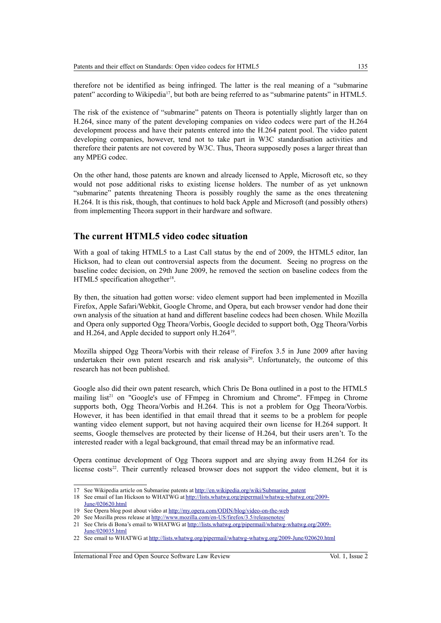therefore not be identified as being infringed. The latter is the real meaning of a "submarine patent" according to Wikipedia<sup>[17](#page-4-0)</sup>, but both are being referred to as "submarine patents" in HTML5.

The risk of the existence of "submarine" patents on Theora is potentially slightly larger than on H.264, since many of the patent developing companies on video codecs were part of the H.264 development process and have their patents entered into the H.264 patent pool. The video patent developing companies, however, tend not to take part in W3C standardisation activities and therefore their patents are not covered by W3C. Thus, Theora supposedly poses a larger threat than any MPEG codec.

On the other hand, those patents are known and already licensed to Apple, Microsoft etc, so they would not pose additional risks to existing license holders. The number of as yet unknown "submarine" patents threatening Theora is possibly roughly the same as the ones threatening H.264. It is this risk, though, that continues to hold back Apple and Microsoft (and possibly others) from implementing Theora support in their hardware and software.

# **The current HTML5 video codec situation**

With a goal of taking HTML5 to a Last Call status by the end of 2009, the HTML5 editor, Ian Hickson, had to clean out controversial aspects from the document. Seeing no progress on the baseline codec decision, on 29th June 2009, he removed the section on baseline codecs from the HTML5 specification altogether<sup>[18](#page-4-1)</sup>.

By then, the situation had gotten worse: video element support had been implemented in Mozilla Firefox, Apple Safari/Webkit, Google Chrome, and Opera, but each browser vendor had done their own analysis of the situation at hand and different baseline codecs had been chosen. While Mozilla and Opera only supported Ogg Theora/Vorbis, Google decided to support both, Ogg Theora/Vorbis and H.264, and Apple decided to support only H.264<sup>[19](#page-4-2)</sup>.

Mozilla shipped Ogg Theora/Vorbis with their release of Firefox 3.5 in June 2009 after having undertaken their own patent research and risk analysis<sup>[20](#page-4-3)</sup>. Unfortunately, the outcome of this research has not been published.

Google also did their own patent research, which Chris De Bona outlined in a post to the HTML5 mailing  $list^{21}$  $list^{21}$  $list^{21}$  on "Google's use of FFmpeg in Chromium and Chrome". FFmpeg in Chrome supports both, Ogg Theora/Vorbis and H.264. This is not a problem for Ogg Theora/Vorbis. However, it has been identified in that email thread that it seems to be a problem for people wanting video element support, but not having acquired their own license for H.264 support. It seems, Google themselves are protected by their license of H.264, but their users aren't. To the interested reader with a legal background, that email thread may be an informative read.

Opera continue development of Ogg Theora support and are shying away from H.264 for its license costs $2^2$ . Their currently released browser does not support the video element, but it is

International Free and Open Source Software Law Review Vol. 1, Issue 2

<span id="page-4-0"></span><sup>17</sup> See Wikipedia article on Submarine patents at [http://en.wikipedia.org/wiki/Submarine\\_patent](http://en.wikipedia.org/wiki/Submarine_patent)

<span id="page-4-1"></span><sup>18</sup> See email of Ian Hickson to WHATWG at [http://lists.whatwg.org/pipermail/whatwg-whatwg.org/2009-](http://lists.whatwg.org/pipermail/whatwg-whatwg.org/2009-June/020620.html) [June/020620.html](http://lists.whatwg.org/pipermail/whatwg-whatwg.org/2009-June/020620.html)

<span id="page-4-2"></span><sup>19</sup> See Opera blog post about video at<http://my.opera.com/ODIN/blog/video-on-the-web>

<span id="page-4-3"></span><sup>20</sup> See Mozilla press release at<http://www.mozilla.com/en-US/firefox/3.5/releasenotes/>

<span id="page-4-4"></span><sup>21</sup> See Chris di Bona's email to WHATWG at [http://lists.whatwg.org/pipermail/whatwg-whatwg.org/2009-](http://lists.whatwg.org/pipermail/whatwg-whatwg.org/2009-June/020035.html) [June/020035.html](http://lists.whatwg.org/pipermail/whatwg-whatwg.org/2009-June/020035.html)

<span id="page-4-5"></span><sup>22</sup> See email to WHATWG at<http://lists.whatwg.org/pipermail/whatwg-whatwg.org/2009-June/020620.html>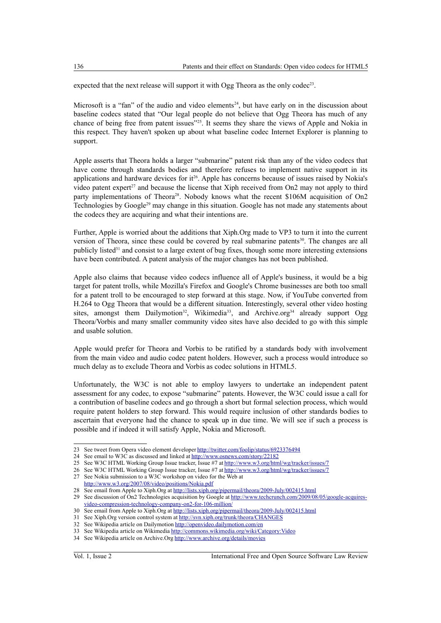expected that the next release will support it with Ogg Theora as the only codec<sup>[23](#page-5-0)</sup>.

Microsoft is a "fan" of the audio and video elements<sup>[24](#page-5-1)</sup>, but have early on in the discussion about baseline codecs stated that "Our legal people do not believe that Ogg Theora has much of any chance of being free from patent issues"[25](#page-5-2). It seems they share the views of Apple and Nokia in this respect. They haven't spoken up about what baseline codec Internet Explorer is planning to support.

Apple asserts that Theora holds a larger "submarine" patent risk than any of the video codecs that have come through standards bodies and therefore refuses to implement native support in its applications and hardware devices for  $it^{26}$  $it^{26}$  $it^{26}$ . Apple has concerns because of issues raised by Nokia's video patent expert<sup>[27](#page-5-4)</sup> and because the license that Xiph received from On2 may not apply to third party implementations of Theora<sup>[28](#page-5-5)</sup>. Nobody knows what the recent \$106M acquisition of On2 Technologies by Google<sup>[29](#page-5-6)</sup> may change in this situation. Google has not made any statements about the codecs they are acquiring and what their intentions are.

Further, Apple is worried about the additions that Xiph.Org made to VP3 to turn it into the current version of Theora, since these could be covered by real submarine patents $30$ . The changes are all publicly listed[31](#page-5-8) and consist to a large extent of bug fixes, though some more interesting extensions have been contributed. A patent analysis of the major changes has not been published.

Apple also claims that because video codecs influence all of Apple's business, it would be a big target for patent trolls, while Mozilla's Firefox and Google's Chrome businesses are both too small for a patent troll to be encouraged to step forward at this stage. Now, if YouTube converted from H.264 to Ogg Theora that would be a different situation. Interestingly, several other video hosting sites, amongst them Dailymotion<sup>[32](#page-5-9)</sup>, Wikimedia<sup>[33](#page-5-10)</sup>, and Archive.org<sup>[34](#page-5-11)</sup> already support Ogg Theora/Vorbis and many smaller community video sites have also decided to go with this simple and usable solution.

Apple would prefer for Theora and Vorbis to be ratified by a standards body with involvement from the main video and audio codec patent holders. However, such a process would introduce so much delay as to exclude Theora and Vorbis as codec solutions in HTML5.

Unfortunately, the W3C is not able to employ lawyers to undertake an independent patent assessment for any codec, to expose "submarine" patents. However, the W3C could issue a call for a contribution of baseline codecs and go through a short but formal selection process, which would require patent holders to step forward. This would require inclusion of other standards bodies to ascertain that everyone had the chance to speak up in due time. We will see if such a process is possible and if indeed it will satisfy Apple, Nokia and Microsoft.

<span id="page-5-0"></span><sup>23</sup> See tweet from Opera video element developer<http://twitter.com/foolip/status/6923376494>

<span id="page-5-1"></span><sup>24</sup> See email to W3C as discussed and linked at<http://www.osnews.com/story/22182>

<span id="page-5-2"></span><sup>25</sup> See W3C HTML Working Group Issue tracker, Issue #7 at<http://www.w3.org/html/wg/tracker/issues/7>

<span id="page-5-3"></span><sup>26</sup> See W3C HTML Working Group Issue tracker, Issue #7 at<http://www.w3.org/html/wg/tracker/issues/7>

<span id="page-5-4"></span><sup>27</sup> See Nokia submission to a W3C workshop on video for the Web at <http://www.w3.org/2007/08/video/positions/Nokia.pdf>

<span id="page-5-5"></span><sup>28</sup> See email from Apple to Xiph.Org at<http://lists.xiph.org/pipermail/theora/2009-July/002415.html>

<span id="page-5-6"></span><sup>29</sup> See discussion of On2 Technologies acquisition by Google at [http://www.techcrunch.com/2009/08/05/google-acquires](http://www.techcrunch.com/2009/08/05/google-acquires-video-compression-technology-company-on2-for-106-million/)[video-compression-technology-company-on2-for-106-million/](http://www.techcrunch.com/2009/08/05/google-acquires-video-compression-technology-company-on2-for-106-million/)

<span id="page-5-7"></span><sup>30</sup> See email from Apple to Xiph.Org at<http://lists.xiph.org/pipermail/theora/2009-July/002415.html>

<span id="page-5-8"></span><sup>31</sup> See Xiph.Org version control system at<http://svn.xiph.org/trunk/theora/CHANGES>

<span id="page-5-9"></span><sup>32</sup> See Wikipedia article on Dailymotion<http://openvideo.dailymotion.com/en>

<span id="page-5-11"></span><span id="page-5-10"></span><sup>33</sup> See Wikipedia article on Wikimedia<http://commons.wikimedia.org/wiki/Category:Video> 34 See Wikipedia article on Archive.Org<http://www.archive.org/details/movies>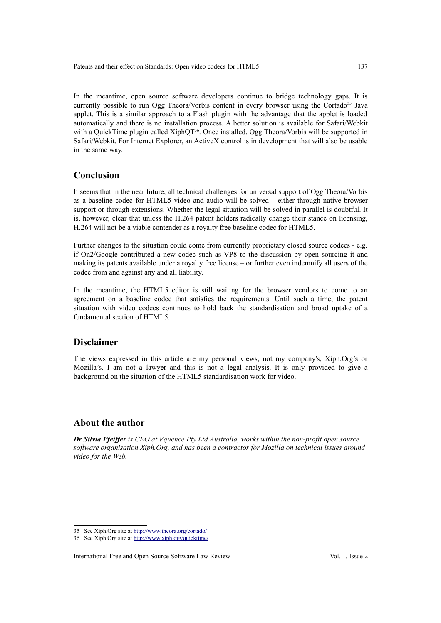In the meantime, open source software developers continue to bridge technology gaps. It is currently possible to run Ogg Theora/Vorbis content in every browser using the Cortado<sup>[35](#page-6-0)</sup> Java applet. This is a similar approach to a Flash plugin with the advantage that the applet is loaded automatically and there is no installation process. A better solution is available for Safari/Webkit with a QuickTime plugin called XiphQT<sup>[36](#page-6-1)</sup>. Once installed, Ogg Theora/Vorbis will be supported in Safari/Webkit. For Internet Explorer, an ActiveX control is in development that will also be usable in the same way.

# **Conclusion**

It seems that in the near future, all technical challenges for universal support of Ogg Theora/Vorbis as a baseline codec for HTML5 video and audio will be solved – either through native browser support or through extensions. Whether the legal situation will be solved in parallel is doubtful. It is, however, clear that unless the H.264 patent holders radically change their stance on licensing, H.264 will not be a viable contender as a royalty free baseline codec for HTML5.

Further changes to the situation could come from currently proprietary closed source codecs - e.g. if On2/Google contributed a new codec such as VP8 to the discussion by open sourcing it and making its patents available under a royalty free license – or further even indemnify all users of the codec from and against any and all liability.

In the meantime, the HTML5 editor is still waiting for the browser vendors to come to an agreement on a baseline codec that satisfies the requirements. Until such a time, the patent situation with video codecs continues to hold back the standardisation and broad uptake of a fundamental section of HTML5.

## **Disclaimer**

The views expressed in this article are my personal views, not my company's, Xiph.Org's or Mozilla's. I am not a lawyer and this is not a legal analysis. It is only provided to give a background on the situation of the HTML5 standardisation work for video.

## **About the author**

*Dr Silvia Pfeiffer is CEO at Vquence Pty Ltd Australia, works within the non-profit open source software organisation Xiph.Org, and has been a contractor for Mozilla on technical issues around video for the Web.*

<span id="page-6-0"></span><sup>35</sup> See Xiph.Org site at<http://www.theora.org/cortado/>

<span id="page-6-1"></span><sup>36</sup> See Xiph.Org site at<http://www.xiph.org/quicktime/>

International Free and Open Source Software Law Review Vol. 1, Issue 2